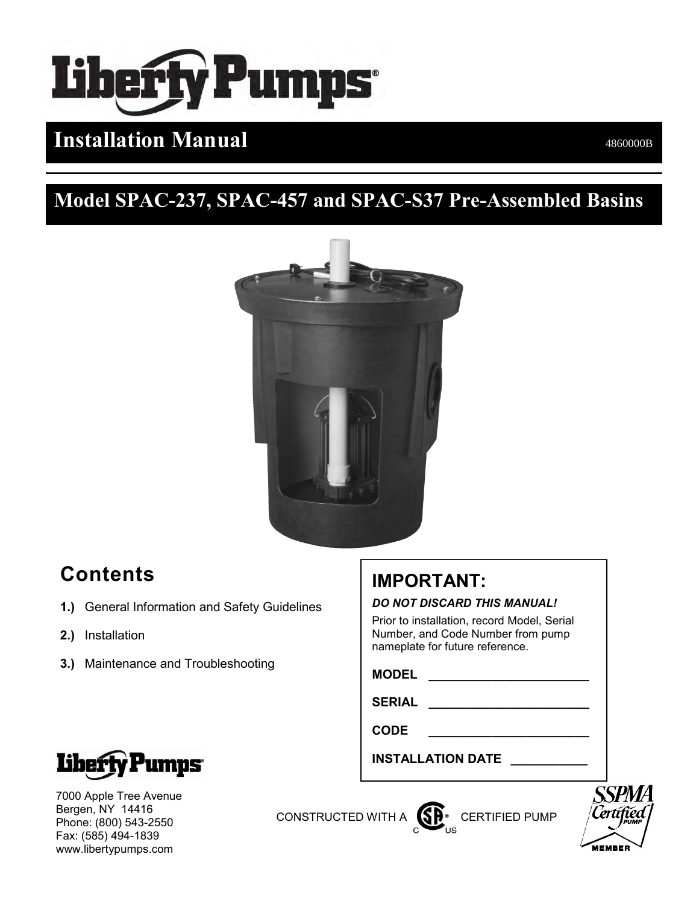

# **Installation Manual** 4860000B

# **Model SPAC-237, SPAC-457 and SPAC-S37 Pre-Assembled Basins**



# **Contents**

- **1.)** General Information and Safety Guidelines
- **2.)** Installation
- **3.)** Maintenance and Troubleshooting

# **IMPORTANT:**

#### *DO NOT DISCARD THIS MANUAL!*

Prior to installation, record Model, Serial Number, and Code Number from pump nameplate for future reference.

**MODEL \_\_\_\_\_\_\_\_\_\_\_\_\_\_\_\_\_\_\_\_\_\_\_**

**SERIAL \_\_\_\_\_\_\_\_\_\_\_\_\_\_\_\_\_\_\_\_\_\_\_**

**CODE \_\_\_\_\_\_\_\_\_\_\_\_\_\_\_\_\_\_\_\_\_\_\_**

**INSTALLATION DATE \_\_\_\_\_\_\_\_\_\_\_**



7000 Apple Tree Avenue Bergen, NY 14416 Phone: (800) 543-2550 Fax: (585) 494-1839 www.libertypumps.com

CONSTRUCTED WITH A **CONSTRUCTED** WITH A **CONSTRUCTED** 

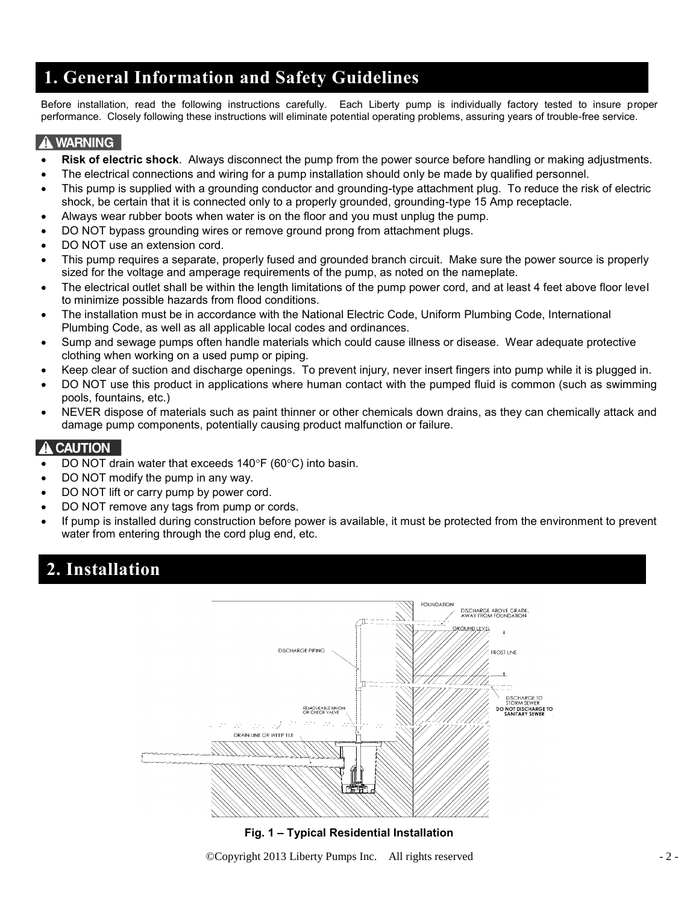## **1. General Information and Safety Guidelines**

Before installation, read the following instructions carefully. Each Liberty pump is individually factory tested to insure proper performance. Closely following these instructions will eliminate potential operating problems, assuring years of trouble-free service.

#### **A WARNING**

֦

- **Risk of electric shock**. Always disconnect the pump from the power source before handling or making adjustments.
- The electrical connections and wiring for a pump installation should only be made by qualified personnel.
- This pump is supplied with a grounding conductor and grounding-type attachment plug. To reduce the risk of electric shock, be certain that it is connected only to a properly grounded, grounding-type 15 Amp receptacle.
- Always wear rubber boots when water is on the floor and you must unplug the pump.
- DO NOT bypass grounding wires or remove ground prong from attachment plugs.
- DO NOT use an extension cord.
- This pump requires a separate, properly fused and grounded branch circuit. Make sure the power source is properly sized for the voltage and amperage requirements of the pump, as noted on the nameplate.
- The electrical outlet shall be within the length limitations of the pump power cord, and at least 4 feet above floor level to minimize possible hazards from flood conditions.
- The installation must be in accordance with the National Electric Code, Uniform Plumbing Code, International Plumbing Code, as well as all applicable local codes and ordinances.
- Sump and sewage pumps often handle materials which could cause illness or disease. Wear adequate protective clothing when working on a used pump or piping.
- Keep clear of suction and discharge openings. To prevent injury, never insert fingers into pump while it is plugged in.
- DO NOT use this product in applications where human contact with the pumped fluid is common (such as swimming pools, fountains, etc.)
- NEVER dispose of materials such as paint thinner or other chemicals down drains, as they can chemically attack and damage pump components, potentially causing product malfunction or failure.

#### **A CAUTION**

- DO NOT drain water that exceeds  $140^{\circ}F$  (60 $^{\circ}C$ ) into basin.
- DO NOT modify the pump in any way.
- DO NOT lift or carry pump by power cord.
- DO NOT remove any tags from pump or cords.
- If pump is installed during construction before power is available, it must be protected from the environment to prevent water from entering through the cord plug end, etc.

## **2. Installation**



#### **Fig. 1 – Typical Residential Installation**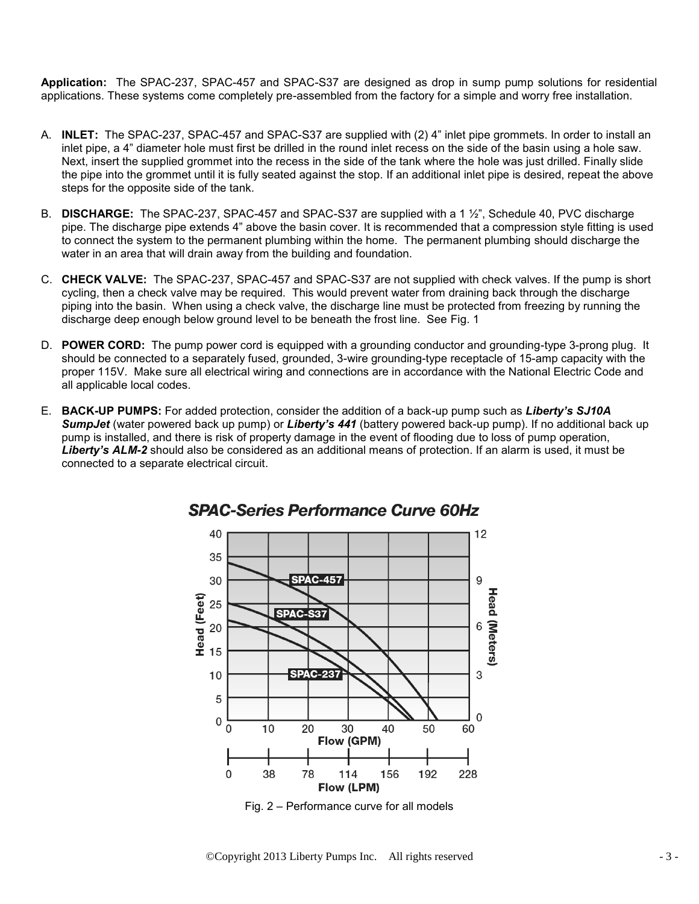**Application:** The SPAC-237, SPAC-457 and SPAC-S37 are designed as drop in sump pump solutions for residential applications. These systems come completely pre-assembled from the factory for a simple and worry free installation.

- A. **INLET:** The SPAC-237, SPAC-457 and SPAC-S37 are supplied with (2) 4" inlet pipe grommets. In order to install an inlet pipe, a 4" diameter hole must first be drilled in the round inlet recess on the side of the basin using a hole saw. Next, insert the supplied grommet into the recess in the side of the tank where the hole was just drilled. Finally slide the pipe into the grommet until it is fully seated against the stop. If an additional inlet pipe is desired, repeat the above steps for the opposite side of the tank.
- B. **DISCHARGE:** The SPAC-237, SPAC-457 and SPAC-S37 are supplied with a 1 ½", Schedule 40, PVC discharge pipe. The discharge pipe extends 4" above the basin cover. It is recommended that a compression style fitting is used to connect the system to the permanent plumbing within the home. The permanent plumbing should discharge the water in an area that will drain away from the building and foundation.
- C. **CHECK VALVE:** The SPAC-237, SPAC-457 and SPAC-S37 are not supplied with check valves. If the pump is short cycling, then a check valve may be required. This would prevent water from draining back through the discharge piping into the basin. When using a check valve, the discharge line must be protected from freezing by running the discharge deep enough below ground level to be beneath the frost line. See Fig. 1
- D. **POWER CORD:** The pump power cord is equipped with a grounding conductor and grounding-type 3-prong plug. It should be connected to a separately fused, grounded, 3-wire grounding-type receptacle of 15-amp capacity with the proper 115V. Make sure all electrical wiring and connections are in accordance with the National Electric Code and all applicable local codes.
- E. **BACK-UP PUMPS:** For added protection, consider the addition of a back-up pump such as *Liberty's SJ10A SumpJet* (water powered back up pump) or *Liberty's 441* (battery powered back-up pump). If no additional back up pump is installed, and there is risk of property damage in the event of flooding due to loss of pump operation, *Liberty's ALM-2* should also be considered as an additional means of protection. If an alarm is used, it must be connected to a separate electrical circuit.



#### **SPAC-Series Performance Curve 60Hz**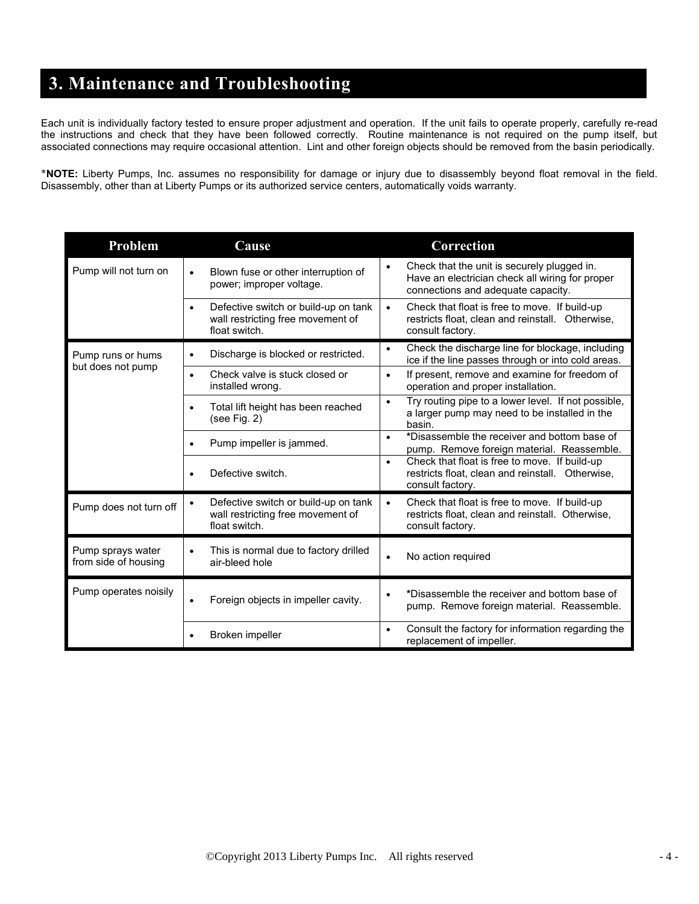## **3. Maintenance and Troubleshooting**

Each unit is individually factory tested to ensure proper adjustment and operation. If the unit fails to operate properly, carefully re-read the instructions and check that they have been followed correctly. Routine maintenance is not required on the pump itself, but associated connections may require occasional attention. Lint and other foreign objects should be removed from the basin periodically.

**NOTE:** Liberty Pumps, Inc. assumes no responsibility for damage or injury due to disassembly beyond float removal in the field. Disassembly, other than at Liberty Pumps or its authorized service centers, automatically voids warranty.

| Problem                                   | Cause                                                                                           | Correction                                                                                                                                        |
|-------------------------------------------|-------------------------------------------------------------------------------------------------|---------------------------------------------------------------------------------------------------------------------------------------------------|
| Pump will not turn on                     | Blown fuse or other interruption of<br>$\bullet$<br>power; improper voltage.                    | Check that the unit is securely plugged in.<br>$\bullet$<br>Have an electrician check all wiring for proper<br>connections and adequate capacity. |
|                                           | Defective switch or build-up on tank<br>wall restricting free movement of<br>float switch.      | Check that float is free to move. If build-up<br>$\bullet$<br>restricts float, clean and reinstall. Otherwise,<br>consult factory.                |
| Pump runs or hums<br>but does not pump    | Discharge is blocked or restricted.<br>$\bullet$                                                | Check the discharge line for blockage, including<br>$\bullet$<br>ice if the line passes through or into cold areas.                               |
|                                           | Check valve is stuck closed or<br>installed wrong.                                              | If present, remove and examine for freedom of<br>$\bullet$<br>operation and proper installation.                                                  |
|                                           | Total lift height has been reached<br>$\bullet$<br>(see Fig. 2)                                 | Try routing pipe to a lower level. If not possible,<br>$\bullet$<br>a larger pump may need to be installed in the<br>basin.                       |
|                                           | Pump impeller is jammed.                                                                        | *Disassemble the receiver and bottom base of<br>$\bullet$<br>pump. Remove foreign material. Reassemble.                                           |
|                                           | Defective switch.                                                                               | Check that float is free to move. If build-up<br>$\bullet$<br>restricts float, clean and reinstall. Otherwise,<br>consult factory.                |
| Pump does not turn off                    | Defective switch or build-up on tank<br>٠<br>wall restricting free movement of<br>float switch. | Check that float is free to move. If build-up<br>$\bullet$<br>restricts float, clean and reinstall. Otherwise,<br>consult factory.                |
| Pump sprays water<br>from side of housing | This is normal due to factory drilled<br>$\bullet$<br>air-bleed hole                            | No action required<br>$\bullet$                                                                                                                   |
| Pump operates noisily                     | Foreign objects in impeller cavity.<br>$\bullet$                                                | *Disassemble the receiver and bottom base of<br>$\bullet$<br>pump. Remove foreign material. Reassemble.                                           |
|                                           | Broken impeller                                                                                 | Consult the factory for information regarding the<br>$\bullet$<br>replacement of impeller.                                                        |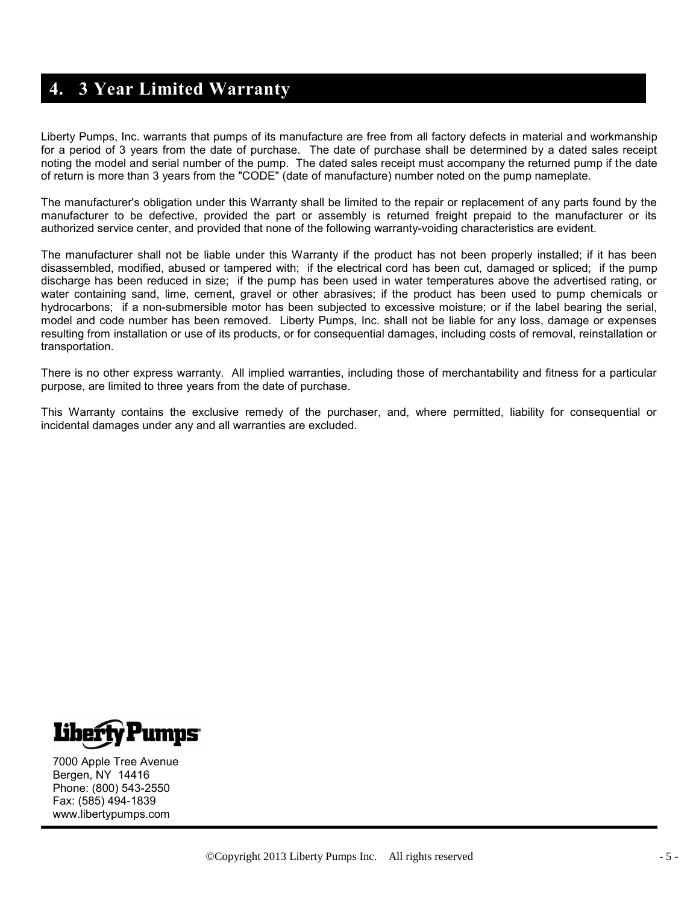## **4. 3 Year Limited Warranty**

Liberty Pumps, Inc. warrants that pumps of its manufacture are free from all factory defects in material and workmanship for a period of 3 years from the date of purchase. The date of purchase shall be determined by a dated sales receipt noting the model and serial number of the pump. The dated sales receipt must accompany the returned pump if the date of return is more than 3 years from the "CODE" (date of manufacture) number noted on the pump nameplate.

The manufacturer's obligation under this Warranty shall be limited to the repair or replacement of any parts found by the manufacturer to be defective, provided the part or assembly is returned freight prepaid to the manufacturer or its authorized service center, and provided that none of the following warranty-voiding characteristics are evident.

The manufacturer shall not be liable under this Warranty if the product has not been properly installed; if it has been disassembled, modified, abused or tampered with; if the electrical cord has been cut, damaged or spliced; if the pump discharge has been reduced in size; if the pump has been used in water temperatures above the advertised rating, or water containing sand, lime, cement, gravel or other abrasives; if the product has been used to pump chemicals or hydrocarbons; if a non-submersible motor has been subjected to excessive moisture; or if the label bearing the serial, model and code number has been removed. Liberty Pumps, Inc. shall not be liable for any loss, damage or expenses resulting from installation or use of its products, or for consequential damages, including costs of removal, reinstallation or transportation.

There is no other express warranty. All implied warranties, including those of merchantability and fitness for a particular purpose, are limited to three years from the date of purchase.

This Warranty contains the exclusive remedy of the purchaser, and, where permitted, liability for consequential or incidental damages under any and all warranties are excluded.



7000 Apple Tree Avenue Bergen, NY 14416 Phone: (800) 543-2550 Fax: (585) 494-1839 www.libertypumps.com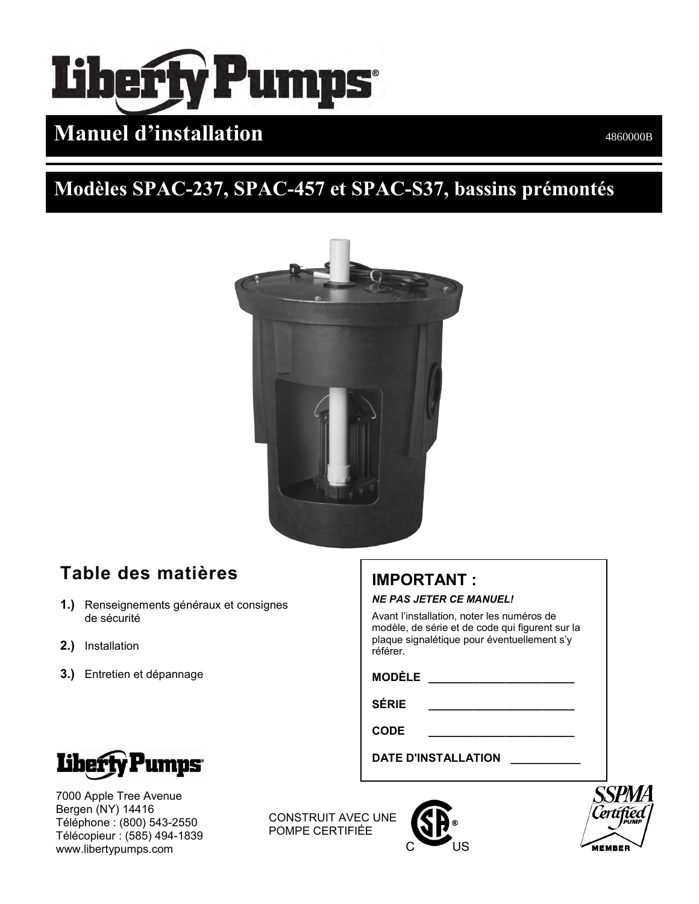# erly Pumps n)

# **Manuel d'installation and the Community of the Community of the AS60000B**

# **Modèles SPAC-237, SPAC-457 et SPAC-S37, bassins prémontés**



## **Table des matières**

- **1.)** Renseignements généraux et consignes de sécurité
- **2.)** Installation
- **3.)** Entretien et dépannage

## **IMPORTANT :**

*NE PAS JETER CE MANUEL!*

Avant l'installation, noter les numéros de modèle, de série et de code qui figurent sur la plaque signalétique pour éventuellement s'y référer.

**MODÈLE \_\_\_\_\_\_\_\_\_\_\_\_\_\_\_\_\_\_\_\_\_\_\_**

**SÉRIE \_\_\_\_\_\_\_\_\_\_\_\_\_\_\_\_\_\_\_\_\_\_\_**

**CODE \_\_\_\_\_\_\_\_\_\_\_\_\_\_\_\_\_\_\_\_\_\_\_**

**DATE D'INSTALLATION \_\_\_\_\_\_\_\_\_\_\_**



7000 Apple Tree Avenue Bergen (NY) 14416 Téléphone : (800) 543-2550 Télécopieur : (585) 494-1839 www.libertypumps.com

CONSTRUIT AVEC UNE POMPE CERTIFIÉE



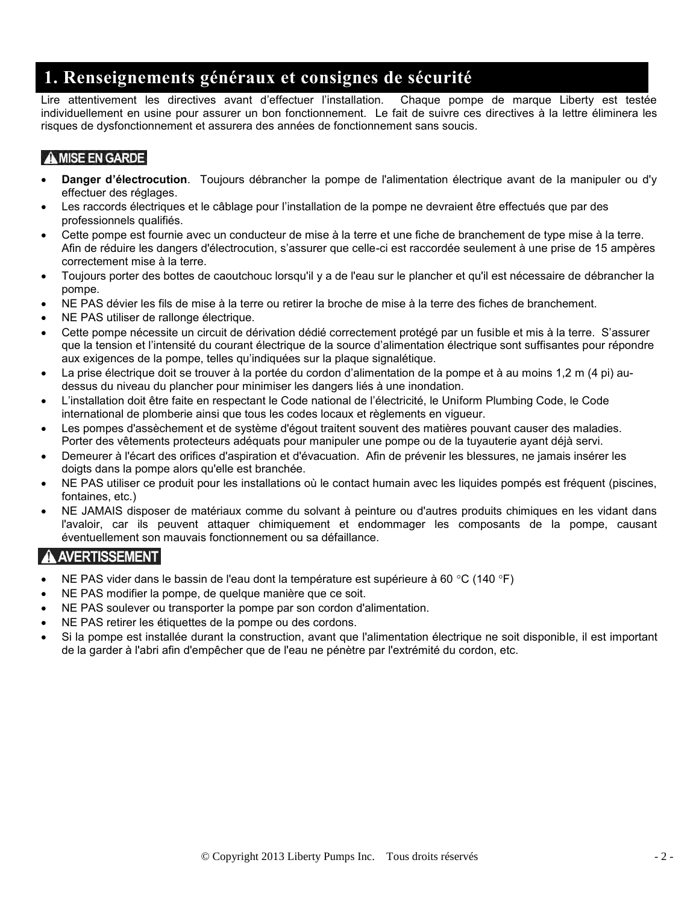## **1. Renseignements généraux et consignes de sécurité**

Lire attentivement les directives avant d'effectuer l'installation. Chaque pompe de marque Liberty est testée individuellement en usine pour assurer un bon fonctionnement. Le fait de suivre ces directives à la lettre éliminera les risques de dysfonctionnement et assurera des années de fonctionnement sans soucis.

#### A MISE EN GARDE

- **Danger d'électrocution**. Toujours débrancher la pompe de l'alimentation électrique avant de la manipuler ou d'y effectuer des réglages.
- Les raccords électriques et le câblage pour l'installation de la pompe ne devraient être effectués que par des professionnels qualifiés.
- Cette pompe est fournie avec un conducteur de mise à la terre et une fiche de branchement de type mise à la terre. Afin de réduire les dangers d'électrocution, s'assurer que celle-ci est raccordée seulement à une prise de 15 ampères correctement mise à la terre.
- Toujours porter des bottes de caoutchouc lorsqu'il y a de l'eau sur le plancher et qu'il est nécessaire de débrancher la pompe.
- NE PAS dévier les fils de mise à la terre ou retirer la broche de mise à la terre des fiches de branchement.
- NE PAS utiliser de rallonge électrique.
- Cette pompe nécessite un circuit de dérivation dédié correctement protégé par un fusible et mis à la terre. S'assurer que la tension et l'intensité du courant électrique de la source d'alimentation électrique sont suffisantes pour répondre aux exigences de la pompe, telles qu'indiquées sur la plaque signalétique.
- La prise électrique doit se trouver à la portée du cordon d'alimentation de la pompe et à au moins 1,2 m (4 pi) audessus du niveau du plancher pour minimiser les dangers liés à une inondation.
- L'installation doit être faite en respectant le Code national de l'électricité, le Uniform Plumbing Code, le Code international de plomberie ainsi que tous les codes locaux et règlements en vigueur.
- Les pompes d'assèchement et de système d'égout traitent souvent des matières pouvant causer des maladies. Porter des vêtements protecteurs adéquats pour manipuler une pompe ou de la tuyauterie ayant déjà servi.
- Demeurer à l'écart des orifices d'aspiration et d'évacuation. Afin de prévenir les blessures, ne jamais insérer les doigts dans la pompe alors qu'elle est branchée.
- NE PAS utiliser ce produit pour les installations où le contact humain avec les liquides pompés est fréquent (piscines, fontaines, etc.)
- NE JAMAIS disposer de matériaux comme du solvant à peinture ou d'autres produits chimiques en les vidant dans l'avaloir, car ils peuvent attaquer chimiquement et endommager les composants de la pompe, causant éventuellement son mauvais fonctionnement ou sa défaillance.

#### A AVERTISSEMENT

- NE PAS vider dans le bassin de l'eau dont la température est supérieure à 60 °C (140 °F)
- NE PAS modifier la pompe, de quelque manière que ce soit.
- NE PAS soulever ou transporter la pompe par son cordon d'alimentation.
- NE PAS retirer les étiquettes de la pompe ou des cordons.
- Si la pompe est installée durant la construction, avant que l'alimentation électrique ne soit disponible, il est important de la garder à l'abri afin d'empêcher que de l'eau ne pénètre par l'extrémité du cordon, etc.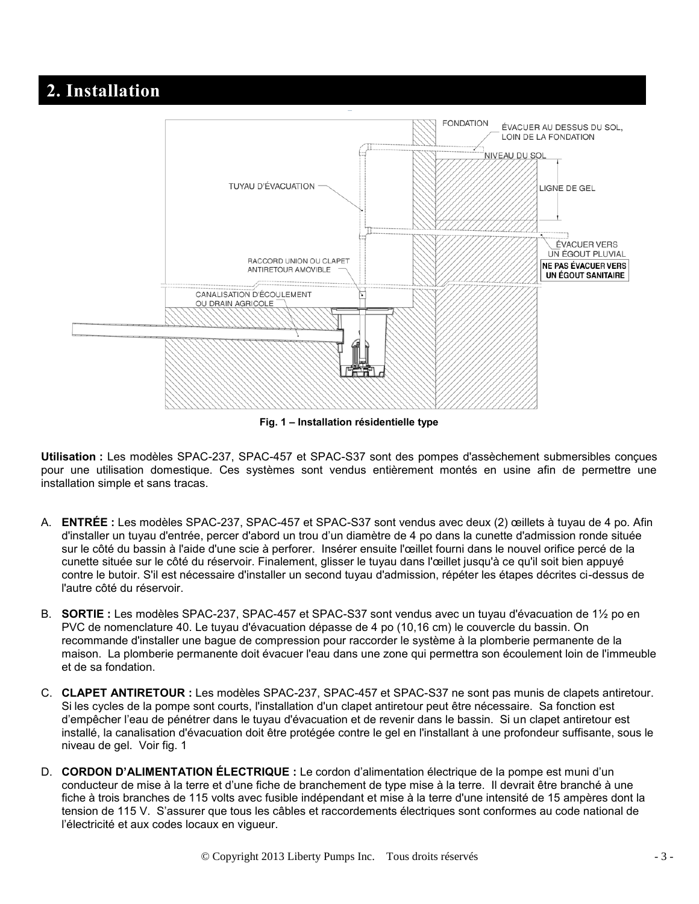## **2. Installation**



**Fig. 1 – Installation résidentielle type** 

**Utilisation :** Les modèles SPAC-237, SPAC-457 et SPAC-S37 sont des pompes d'assèchement submersibles conçues pour une utilisation domestique. Ces systèmes sont vendus entièrement montés en usine afin de permettre une installation simple et sans tracas.

- A. **ENTRÉE :** Les modèles SPAC-237, SPAC-457 et SPAC-S37 sont vendus avec deux (2) œillets à tuyau de 4 po. Afin d'installer un tuyau d'entrée, percer d'abord un trou d'un diamètre de 4 po dans la cunette d'admission ronde située sur le côté du bassin à l'aide d'une scie à perforer. Insérer ensuite l'œillet fourni dans le nouvel orifice percé de la cunette située sur le côté du réservoir. Finalement, glisser le tuyau dans l'œillet jusqu'à ce qu'il soit bien appuyé contre le butoir. S'il est nécessaire d'installer un second tuyau d'admission, répéter les étapes décrites ci-dessus de l'autre côté du réservoir.
- B. **SORTIE :** Les modèles SPAC-237, SPAC-457 et SPAC-S37 sont vendus avec un tuyau d'évacuation de 1½ po en PVC de nomenclature 40. Le tuyau d'évacuation dépasse de 4 po (10,16 cm) le couvercle du bassin. On recommande d'installer une bague de compression pour raccorder le système à la plomberie permanente de la maison. La plomberie permanente doit évacuer l'eau dans une zone qui permettra son écoulement loin de l'immeuble et de sa fondation.
- C. **CLAPET ANTIRETOUR :** Les modèles SPAC-237, SPAC-457 et SPAC-S37 ne sont pas munis de clapets antiretour. Si les cycles de la pompe sont courts, l'installation d'un clapet antiretour peut être nécessaire. Sa fonction est d'empêcher l'eau de pénétrer dans le tuyau d'évacuation et de revenir dans le bassin. Si un clapet antiretour est installé, la canalisation d'évacuation doit être protégée contre le gel en l'installant à une profondeur suffisante, sous le niveau de gel. Voir fig. 1
- D. **CORDON D'ALIMENTATION ÉLECTRIQUE :** Le cordon d'alimentation électrique de la pompe est muni d'un conducteur de mise à la terre et d'une fiche de branchement de type mise à la terre. Il devrait être branché à une fiche à trois branches de 115 volts avec fusible indépendant et mise à la terre d'une intensité de 15 ampères dont la tension de 115 V. S'assurer que tous les câbles et raccordements électriques sont conformes au code national de l'électricité et aux codes locaux en vigueur.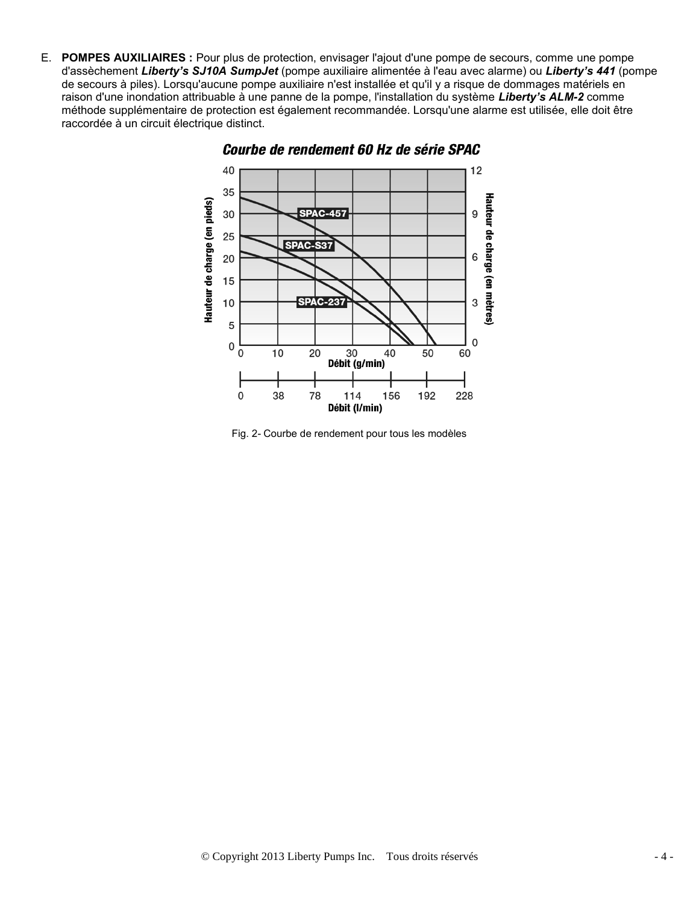E. **POMPES AUXILIAIRES :** Pour plus de protection, envisager l'ajout d'une pompe de secours, comme une pompe d'assèchement *Liberty's SJ10A SumpJet* (pompe auxiliaire alimentée à l'eau avec alarme) ou *Liberty's 441* (pompe de secours à piles). Lorsqu'aucune pompe auxiliaire n'est installée et qu'il y a risque de dommages matériels en raison d'une inondation attribuable à une panne de la pompe, l'installation du système *Liberty's ALM-2* comme méthode supplémentaire de protection est également recommandée. Lorsqu'une alarme est utilisée, elle doit être raccordée à un circuit électrique distinct.



Courbe de rendement 60 Hz de série SPAC

Fig. 2- Courbe de rendement pour tous les modèles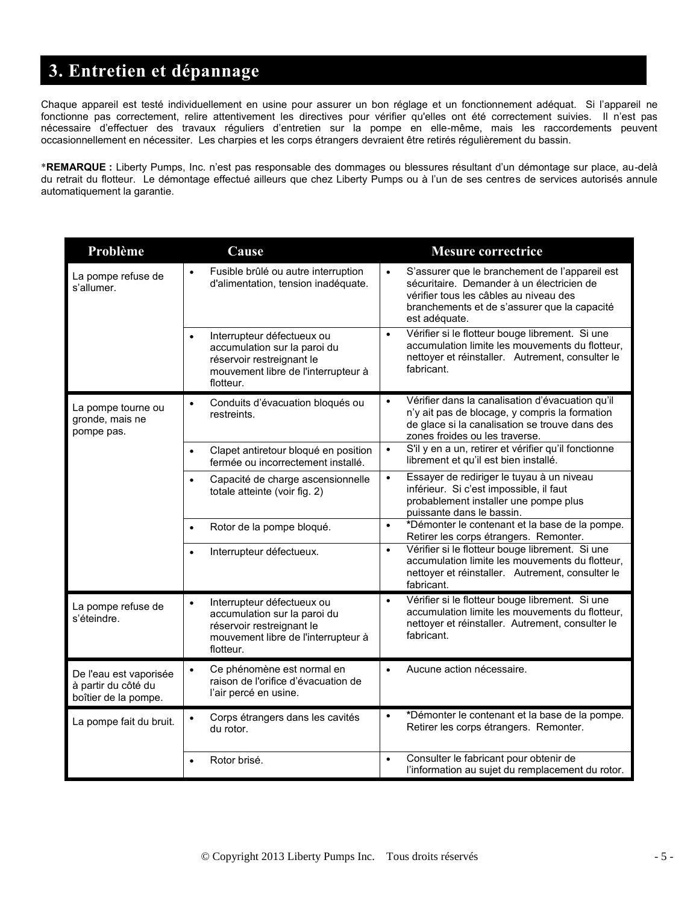## **3. Entretien et dépannage**

Chaque appareil est testé individuellement en usine pour assurer un bon réglage et un fonctionnement adéquat. Si l'appareil ne fonctionne pas correctement, relire attentivement les directives pour vérifier qu'elles ont été correctement suivies. Il n'est pas nécessaire d'effectuer des travaux réguliers d'entretien sur la pompe en elle-même, mais les raccordements peuvent occasionnellement en nécessiter. Les charpies et les corps étrangers devraient être retirés régulièrement du bassin.

**REMARQUE :** Liberty Pumps, Inc. n'est pas responsable des dommages ou blessures résultant d'un démontage sur place, au-delà du retrait du flotteur. Le démontage effectué ailleurs que chez Liberty Pumps ou à l'un de ses centres de services autorisés annule automatiquement la garantie.

| Problème                                                              | Cause                                                                                                                                                    | <b>Mesure correctrice</b>                                                                                                                                                                                           |
|-----------------------------------------------------------------------|----------------------------------------------------------------------------------------------------------------------------------------------------------|---------------------------------------------------------------------------------------------------------------------------------------------------------------------------------------------------------------------|
| La pompe refuse de<br>s'allumer.                                      | Fusible brûlé ou autre interruption<br>$\bullet$<br>d'alimentation, tension inadéquate.                                                                  | S'assurer que le branchement de l'appareil est<br>$\bullet$<br>sécuritaire. Demander à un électricien de<br>vérifier tous les câbles au niveau des<br>branchements et de s'assurer que la capacité<br>est adéquate. |
|                                                                       | Interrupteur défectueux ou<br>accumulation sur la paroi du<br>réservoir restreignant le<br>mouvement libre de l'interrupteur à<br>flotteur.              | Vérifier si le flotteur bouge librement. Si une<br>$\bullet$<br>accumulation limite les mouvements du flotteur,<br>nettoyer et réinstaller. Autrement, consulter le<br>fabricant.                                   |
| La pompe tourne ou<br>gronde, mais ne<br>pompe pas.                   | Conduits d'évacuation bloqués ou<br>$\bullet$<br>restreints.                                                                                             | Vérifier dans la canalisation d'évacuation qu'il<br>$\bullet$<br>n'y ait pas de blocage, y compris la formation<br>de glace si la canalisation se trouve dans des<br>zones froides ou les traverse.                 |
|                                                                       | Clapet antiretour bloqué en position<br>$\bullet$<br>fermée ou incorrectement installé.                                                                  | S'il y en a un, retirer et vérifier qu'il fonctionne<br>$\bullet$<br>librement et qu'il est bien installé.                                                                                                          |
|                                                                       | Capacité de charge ascensionnelle<br>$\bullet$<br>totale atteinte (voir fig. 2)                                                                          | Essayer de rediriger le tuyau à un niveau<br>$\bullet$<br>inférieur. Si c'est impossible, il faut<br>probablement installer une pompe plus<br>puissante dans le bassin.                                             |
|                                                                       | Rotor de la pompe bloqué.                                                                                                                                | *Démonter le contenant et la base de la pompe.<br>$\bullet$<br>Retirer les corps étrangers. Remonter.                                                                                                               |
|                                                                       | Interrupteur défectueux.<br>$\bullet$                                                                                                                    | Vérifier si le flotteur bouge librement. Si une<br>$\bullet$<br>accumulation limite les mouvements du flotteur,<br>nettoyer et réinstaller. Autrement, consulter le<br>fabricant.                                   |
| La pompe refuse de<br>s'éteindre.                                     | Interrupteur défectueux ou<br>$\bullet$<br>accumulation sur la paroi du<br>réservoir restreignant le<br>mouvement libre de l'interrupteur à<br>flotteur. | Vérifier si le flotteur bouge librement. Si une<br>$\bullet$<br>accumulation limite les mouvements du flotteur,<br>nettoyer et réinstaller. Autrement, consulter le<br>fabricant.                                   |
| De l'eau est vaporisée<br>à partir du côté du<br>boîtier de la pompe. | Ce phénomène est normal en<br>$\bullet$<br>raison de l'orifice d'évacuation de<br>l'air percé en usine.                                                  | Aucune action nécessaire.<br>$\bullet$                                                                                                                                                                              |
| La pompe fait du bruit.                                               | Corps étrangers dans les cavités<br>$\bullet$<br>du rotor.                                                                                               | *Démonter le contenant et la base de la pompe.<br>$\bullet$<br>Retirer les corps étrangers. Remonter.                                                                                                               |
|                                                                       | Rotor brisé.                                                                                                                                             | Consulter le fabricant pour obtenir de<br>$\bullet$<br>l'information au sujet du remplacement du rotor.                                                                                                             |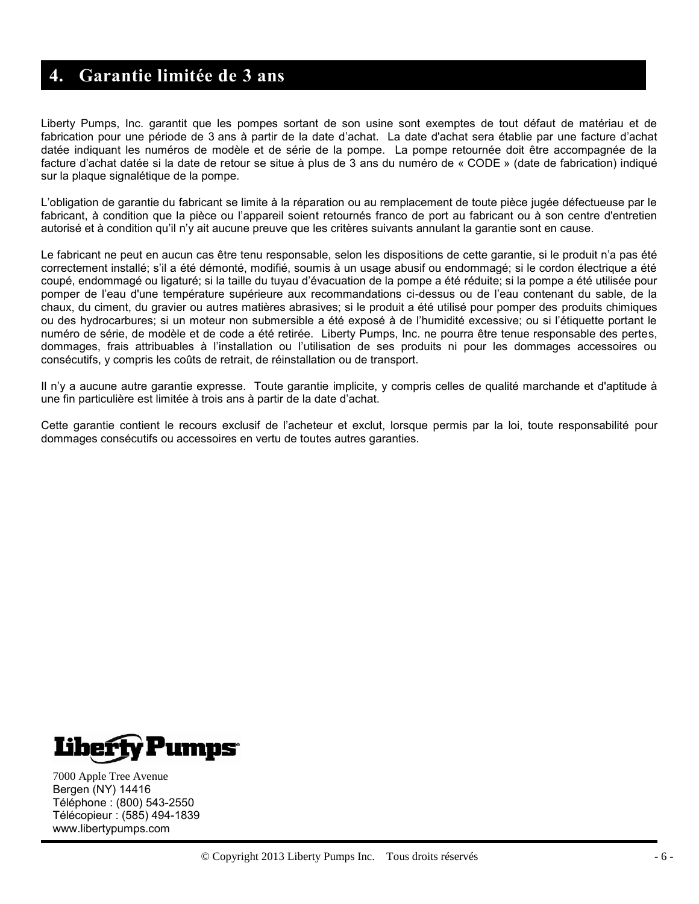### **4. Garantie limitée de 3 ans**

Liberty Pumps, Inc. garantit que les pompes sortant de son usine sont exemptes de tout défaut de matériau et de fabrication pour une période de 3 ans à partir de la date d'achat. La date d'achat sera établie par une facture d'achat datée indiquant les numéros de modèle et de série de la pompe. La pompe retournée doit être accompagnée de la facture d'achat datée si la date de retour se situe à plus de 3 ans du numéro de « CODE » (date de fabrication) indiqué sur la plaque signalétique de la pompe.

L'obligation de garantie du fabricant se limite à la réparation ou au remplacement de toute pièce jugée défectueuse par le fabricant, à condition que la pièce ou l'appareil soient retournés franco de port au fabricant ou à son centre d'entretien autorisé et à condition qu'il n'y ait aucune preuve que les critères suivants annulant la garantie sont en cause.

Le fabricant ne peut en aucun cas être tenu responsable, selon les dispositions de cette garantie, si le produit n'a pas été correctement installé; s'il a été démonté, modifié, soumis à un usage abusif ou endommagé; si le cordon électrique a été coupé, endommagé ou ligaturé; si la taille du tuyau d'évacuation de la pompe a été réduite; si la pompe a été utilisée pour pomper de l'eau d'une température supérieure aux recommandations ci-dessus ou de l'eau contenant du sable, de la chaux, du ciment, du gravier ou autres matières abrasives; si le produit a été utilisé pour pomper des produits chimiques ou des hydrocarbures; si un moteur non submersible a été exposé à de l'humidité excessive; ou si l'étiquette portant le numéro de série, de modèle et de code a été retirée. Liberty Pumps, Inc. ne pourra être tenue responsable des pertes, dommages, frais attribuables à l'installation ou l'utilisation de ses produits ni pour les dommages accessoires ou consécutifs, y compris les coûts de retrait, de réinstallation ou de transport.

Il n'y a aucune autre garantie expresse. Toute garantie implicite, y compris celles de qualité marchande et d'aptitude à une fin particulière est limitée à trois ans à partir de la date d'achat.

Cette garantie contient le recours exclusif de l'acheteur et exclut, lorsque permis par la loi, toute responsabilité pour dommages consécutifs ou accessoires en vertu de toutes autres garanties.



7000 Apple Tree Avenue Bergen (NY) 14416 Téléphone : (800) 543-2550 Télécopieur : (585) 494-1839 www.libertypumps.com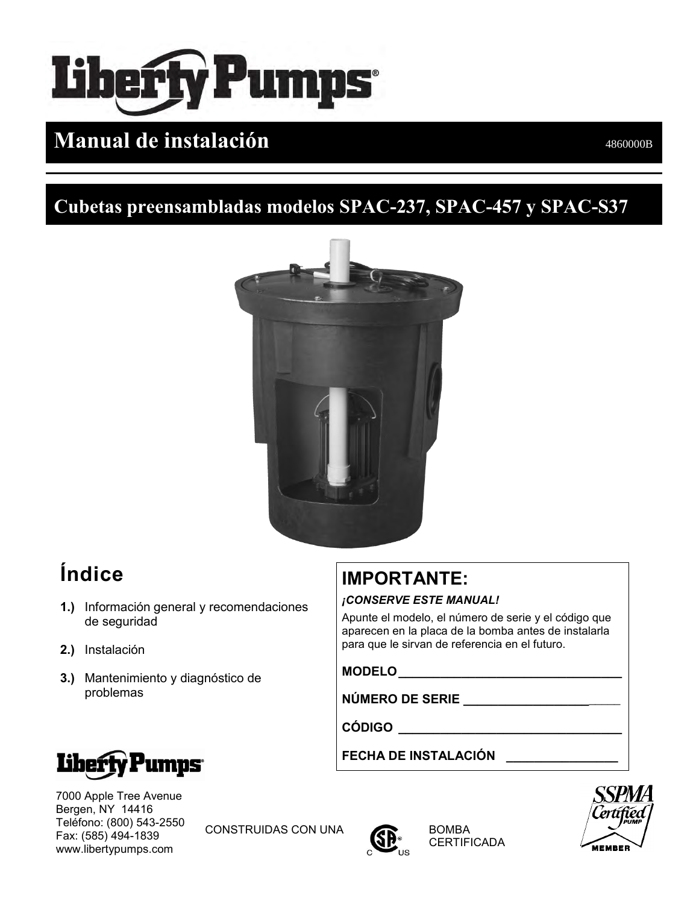# **Liberty Pumps**

# **Manual de instalación** 4860000B

## **Cubetas preensambladas modelos SPAC-237, SPAC-457 y SPAC-S37**



# **Índice**

- **1.)** Información general y recomendaciones de seguridad
- **2.)** Instalación
- **3.)** Mantenimiento y diagnóstico de problemas

# **IMPORTANTE:**

#### *¡CONSERVE ESTE MANUAL!*

Apunte el modelo, el número de serie y el código que aparecen en la placa de la bomba antes de instalarla para que le sirvan de referencia en el futuro.

**MODELO\_\_\_\_\_\_\_\_\_\_\_\_\_\_\_\_\_\_\_\_\_\_\_\_\_\_\_\_\_\_\_\_**

**NÚMERO DE SERIE \_\_\_\_\_\_\_\_\_\_\_\_\_\_\_\_\_\_**\_\_\_\_\_

**CÓDIGO \_\_\_\_\_\_\_\_\_\_\_\_\_\_\_\_\_\_\_\_\_\_\_\_\_\_\_\_\_\_\_\_**

**FECHA DE INSTALACIÓN \_\_\_\_\_\_\_\_\_\_\_\_\_\_\_\_**



7000 Apple Tree Avenue Bergen, NY 14416 Teléfono: (800) 543-2550 Fax: (585) 494-1839 www.libertypumps.com

CONSTRUIDAS CON UNA **CONSTRUIDAS** 



**CERTIFICADA** 

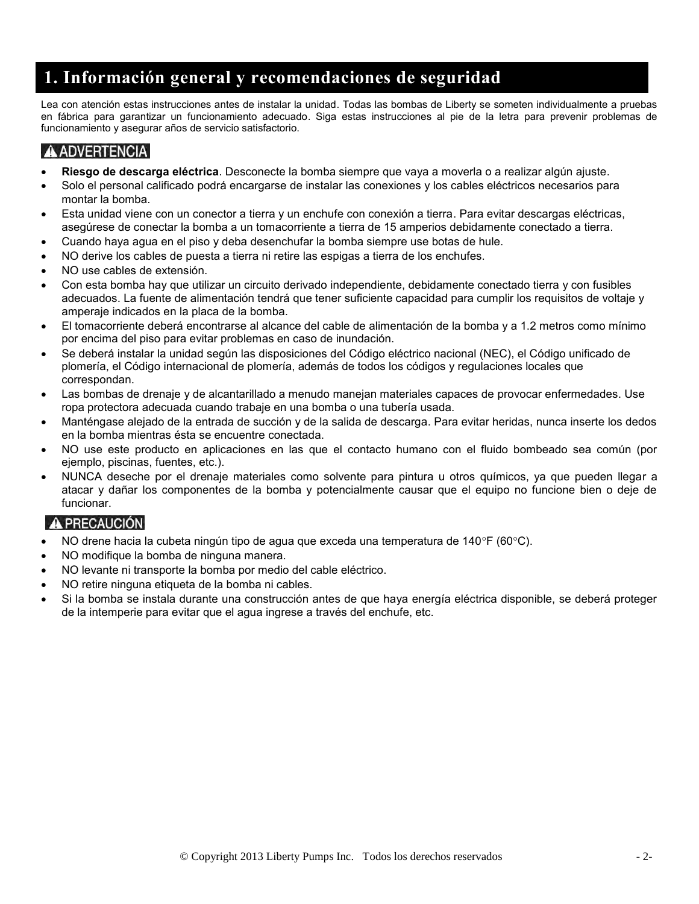## **1. Información general y recomendaciones de seguridad**

Lea con atención estas instrucciones antes de instalar la unidad. Todas las bombas de Liberty se someten individualmente a pruebas en fábrica para garantizar un funcionamiento adecuado. Siga estas instrucciones al pie de la letra para prevenir problemas de funcionamiento y asegurar años de servicio satisfactorio.

#### **A ADVERTENCIA**

֦

- **Riesgo de descarga eléctrica**. Desconecte la bomba siempre que vaya a moverla o a realizar algún ajuste.
- Solo el personal calificado podrá encargarse de instalar las conexiones y los cables eléctricos necesarios para montar la bomba.
- Esta unidad viene con un conector a tierra y un enchufe con conexión a tierra. Para evitar descargas eléctricas, asegúrese de conectar la bomba a un tomacorriente a tierra de 15 amperios debidamente conectado a tierra.
- Cuando haya agua en el piso y deba desenchufar la bomba siempre use botas de hule.
- NO derive los cables de puesta a tierra ni retire las espigas a tierra de los enchufes.
- NO use cables de extensión.
- Con esta bomba hay que utilizar un circuito derivado independiente, debidamente conectado tierra y con fusibles adecuados. La fuente de alimentación tendrá que tener suficiente capacidad para cumplir los requisitos de voltaje y amperaje indicados en la placa de la bomba.
- El tomacorriente deberá encontrarse al alcance del cable de alimentación de la bomba y a 1.2 metros como mínimo por encima del piso para evitar problemas en caso de inundación.
- Se deberá instalar la unidad según las disposiciones del Código eléctrico nacional (NEC), el Código unificado de plomería, el Código internacional de plomería, además de todos los códigos y regulaciones locales que correspondan.
- Las bombas de drenaje y de alcantarillado a menudo manejan materiales capaces de provocar enfermedades. Use ropa protectora adecuada cuando trabaje en una bomba o una tubería usada.
- Manténgase alejado de la entrada de succión y de la salida de descarga. Para evitar heridas, nunca inserte los dedos en la bomba mientras ésta se encuentre conectada.
- NO use este producto en aplicaciones en las que el contacto humano con el fluido bombeado sea común (por ejemplo, piscinas, fuentes, etc.).
- NUNCA deseche por el drenaje materiales como solvente para pintura u otros químicos, ya que pueden llegar a atacar y dañar los componentes de la bomba y potencialmente causar que el equipo no funcione bien o deje de funcionar.

#### A PRECAUCIÓN

- NO drene hacia la cubeta ningún tipo de agua que exceda una temperatura de 140°F (60°C).
- NO modifique la bomba de ninguna manera.
- NO levante ni transporte la bomba por medio del cable eléctrico.
- NO retire ninguna etiqueta de la bomba ni cables.
- Si la bomba se instala durante una construcción antes de que haya energía eléctrica disponible, se deberá proteger de la intemperie para evitar que el agua ingrese a través del enchufe, etc.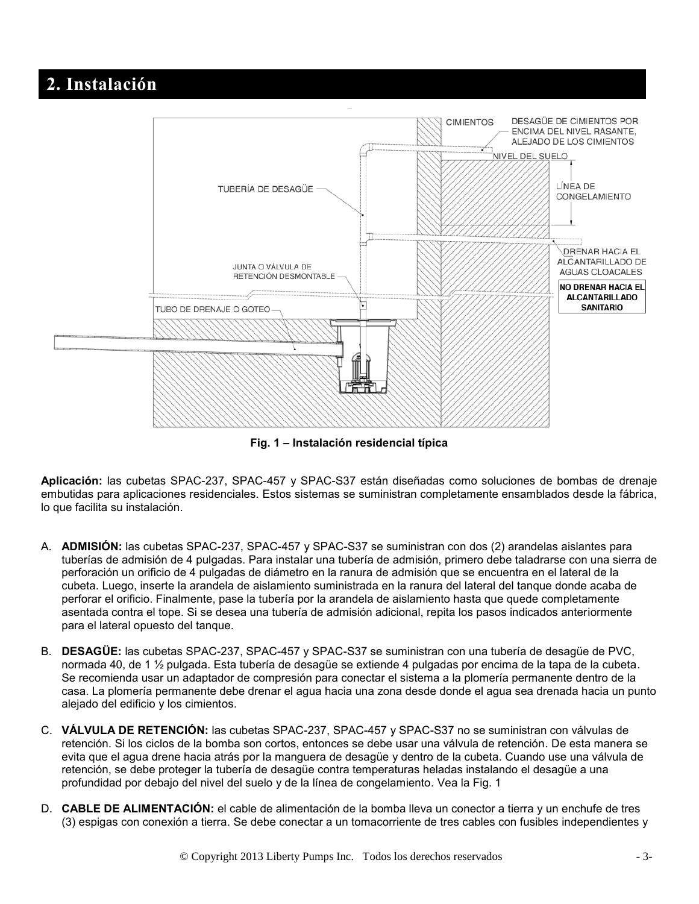## **2. Instalación**



**Fig. 1 – Instalación residencial típica** 

**Aplicación:** las cubetas SPAC-237, SPAC-457 y SPAC-S37 están diseñadas como soluciones de bombas de drenaje embutidas para aplicaciones residenciales. Estos sistemas se suministran completamente ensamblados desde la fábrica, lo que facilita su instalación.

- A. **ADMISIÓN:** las cubetas SPAC-237, SPAC-457 y SPAC-S37 se suministran con dos (2) arandelas aislantes para tuberías de admisión de 4 pulgadas. Para instalar una tubería de admisión, primero debe taladrarse con una sierra de perforación un orificio de 4 pulgadas de diámetro en la ranura de admisión que se encuentra en el lateral de la cubeta. Luego, inserte la arandela de aislamiento suministrada en la ranura del lateral del tanque donde acaba de perforar el orificio. Finalmente, pase la tubería por la arandela de aislamiento hasta que quede completamente asentada contra el tope. Si se desea una tubería de admisión adicional, repita los pasos indicados anteriormente para el lateral opuesto del tanque.
- B. **DESAGÜE:** las cubetas SPAC-237, SPAC-457 y SPAC-S37 se suministran con una tubería de desagüe de PVC, normada 40, de 1 ½ pulgada. Esta tubería de desagüe se extiende 4 pulgadas por encima de la tapa de la cubeta. Se recomienda usar un adaptador de compresión para conectar el sistema a la plomería permanente dentro de la casa. La plomería permanente debe drenar el agua hacia una zona desde donde el agua sea drenada hacia un punto alejado del edificio y los cimientos.
- C. **VÁLVULA DE RETENCIÓN:** las cubetas SPAC-237, SPAC-457 y SPAC-S37 no se suministran con válvulas de retención. Si los ciclos de la bomba son cortos, entonces se debe usar una válvula de retención. De esta manera se evita que el agua drene hacia atrás por la manguera de desagüe y dentro de la cubeta. Cuando use una válvula de retención, se debe proteger la tubería de desagüe contra temperaturas heladas instalando el desagüe a una profundidad por debajo del nivel del suelo y de la línea de congelamiento. Vea la Fig. 1
- D. **CABLE DE ALIMENTACIÓN:** el cable de alimentación de la bomba lleva un conector a tierra y un enchufe de tres (3) espigas con conexión a tierra. Se debe conectar a un tomacorriente de tres cables con fusibles independientes y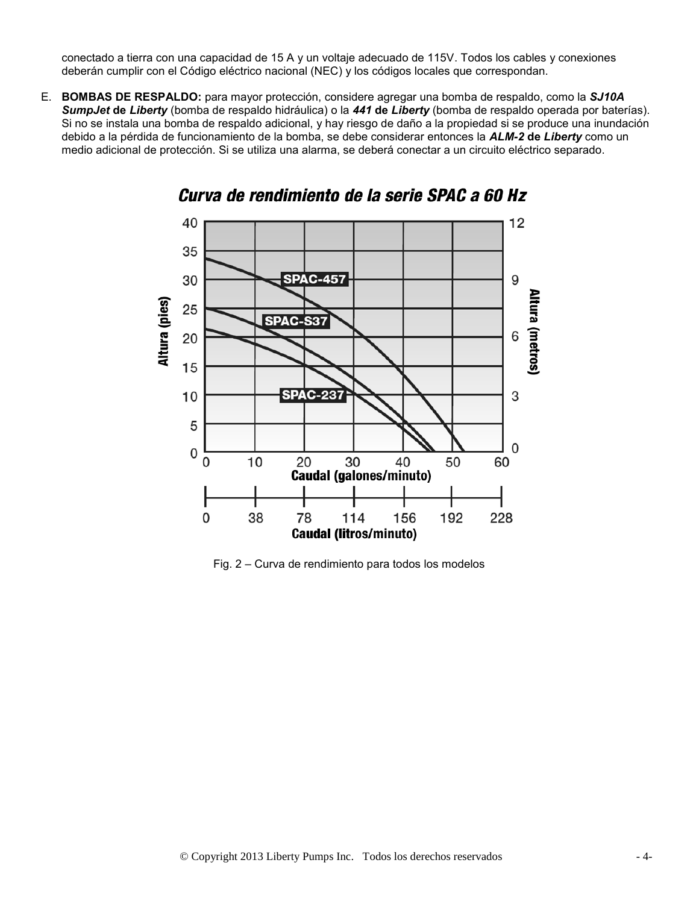conectado a tierra con una capacidad de 15 A y un voltaje adecuado de 115V. Todos los cables y conexiones deberán cumplir con el Código eléctrico nacional (NEC) y los códigos locales que correspondan.

E. **BOMBAS DE RESPALDO:** para mayor protección, considere agregar una bomba de respaldo, como la *SJ10A SumpJet* **de** *Liberty* (bomba de respaldo hidráulica) o la *441* **de** *Liberty* (bomba de respaldo operada por baterías). Si no se instala una bomba de respaldo adicional, y hay riesgo de daño a la propiedad si se produce una inundación debido a la pérdida de funcionamiento de la bomba, se debe considerar entonces la *ALM-2* **de** *Liberty* como un medio adicional de protección. Si se utiliza una alarma, se deberá conectar a un circuito eléctrico separado.



#### Curva de rendimiento de la serie SPAC a 60 Hz

Fig. 2 – Curva de rendimiento para todos los modelos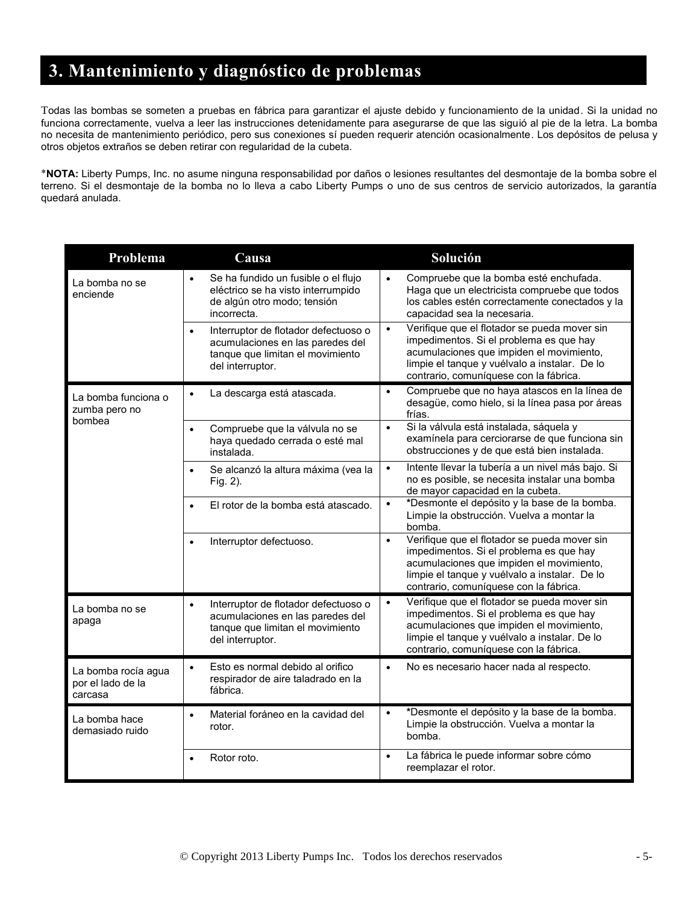## **3. Mantenimiento y diagnóstico de problemas**

Todas las bombas se someten a pruebas en fábrica para garantizar el ajuste debido y funcionamiento de la unidad. Si la unidad no funciona correctamente, vuelva a leer las instrucciones detenidamente para asegurarse de que las siguió al pie de la letra. La bomba no necesita de mantenimiento periódico, pero sus conexiones sí pueden requerir atención ocasionalmente. Los depósitos de pelusa y otros objetos extraños se deben retirar con regularidad de la cubeta.

**NOTA:** Liberty Pumps, Inc. no asume ninguna responsabilidad por daños o lesiones resultantes del desmontaje de la bomba sobre el terreno. Si el desmontaje de la bomba no lo lleva a cabo Liberty Pumps o uno de sus centros de servicio autorizados, la garantía quedará anulada.

| Problema                                            | Causa                                                                                                                                         | Solución                                                                                                                                                                                                                                    |
|-----------------------------------------------------|-----------------------------------------------------------------------------------------------------------------------------------------------|---------------------------------------------------------------------------------------------------------------------------------------------------------------------------------------------------------------------------------------------|
| La bomba no se<br>enciende                          | Se ha fundido un fusible o el flujo<br>$\bullet$<br>eléctrico se ha visto interrumpido<br>de algún otro modo; tensión<br>incorrecta.          | Compruebe que la bomba esté enchufada.<br>$\bullet$<br>Haga que un electricista compruebe que todos<br>los cables estén correctamente conectados y la<br>capacidad sea la necesaria.                                                        |
|                                                     | Interruptor de flotador defectuoso o<br>$\bullet$<br>acumulaciones en las paredes del<br>tanque que limitan el movimiento<br>del interruptor. | Verifique que el flotador se pueda mover sin<br>$\bullet$<br>impedimentos. Si el problema es que hay<br>acumulaciones que impiden el movimiento,<br>limpie el tanque y vuélvalo a instalar. De lo<br>contrario, comuníquese con la fábrica. |
| La bomba funciona o<br>zumba pero no<br>bombea      | La descarga está atascada.<br>$\bullet$                                                                                                       | Compruebe que no haya atascos en la línea de<br>$\bullet$<br>desagüe, como hielo, si la línea pasa por áreas<br>frías.                                                                                                                      |
|                                                     | Compruebe que la válvula no se<br>$\bullet$<br>haya quedado cerrada o esté mal<br>instalada.                                                  | Si la válvula está instalada, sáquela y<br>$\bullet$<br>examínela para cerciorarse de que funciona sin<br>obstrucciones y de que está bien instalada.                                                                                       |
|                                                     | Se alcanzó la altura máxima (vea la<br>Fig. 2).                                                                                               | Intente llevar la tubería a un nivel más bajo. Si<br>$\bullet$<br>no es posible, se necesita instalar una bomba<br>de mayor capacidad en la cubeta.                                                                                         |
|                                                     | El rotor de la bomba está atascado.                                                                                                           | *Desmonte el depósito y la base de la bomba.<br>$\bullet$<br>Limpie la obstrucción. Vuelva a montar la<br>bomba.                                                                                                                            |
|                                                     | Interruptor defectuoso.                                                                                                                       | Verifique que el flotador se pueda mover sin<br>$\bullet$<br>impedimentos. Si el problema es que hay<br>acumulaciones que impiden el movimiento,<br>limpie el tanque y vuélvalo a instalar. De lo<br>contrario, comuníquese con la fábrica. |
| La bomba no se<br>apaga                             | Interruptor de flotador defectuoso o<br>$\bullet$<br>acumulaciones en las paredes del<br>tanque que limitan el movimiento<br>del interruptor. | Verifique que el flotador se pueda mover sin<br>$\bullet$<br>impedimentos. Si el problema es que hay<br>acumulaciones que impiden el movimiento,<br>limpie el tanque y vuélvalo a instalar. De lo<br>contrario, comuníquese con la fábrica. |
| La bomba rocía agua<br>por el lado de la<br>carcasa | Esto es normal debido al orifico<br>$\bullet$<br>respirador de aire taladrado en la<br>fábrica.                                               | No es necesario hacer nada al respecto.<br>$\bullet$                                                                                                                                                                                        |
| La bomba hace<br>demasiado ruido                    | Material foráneo en la cavidad del<br>$\bullet$<br>rotor.                                                                                     | *Desmonte el depósito y la base de la bomba.<br>$\bullet$<br>Limpie la obstrucción. Vuelva a montar la<br>bomba.                                                                                                                            |
|                                                     | Rotor roto.                                                                                                                                   | La fábrica le puede informar sobre cómo<br>$\bullet$<br>reemplazar el rotor.                                                                                                                                                                |